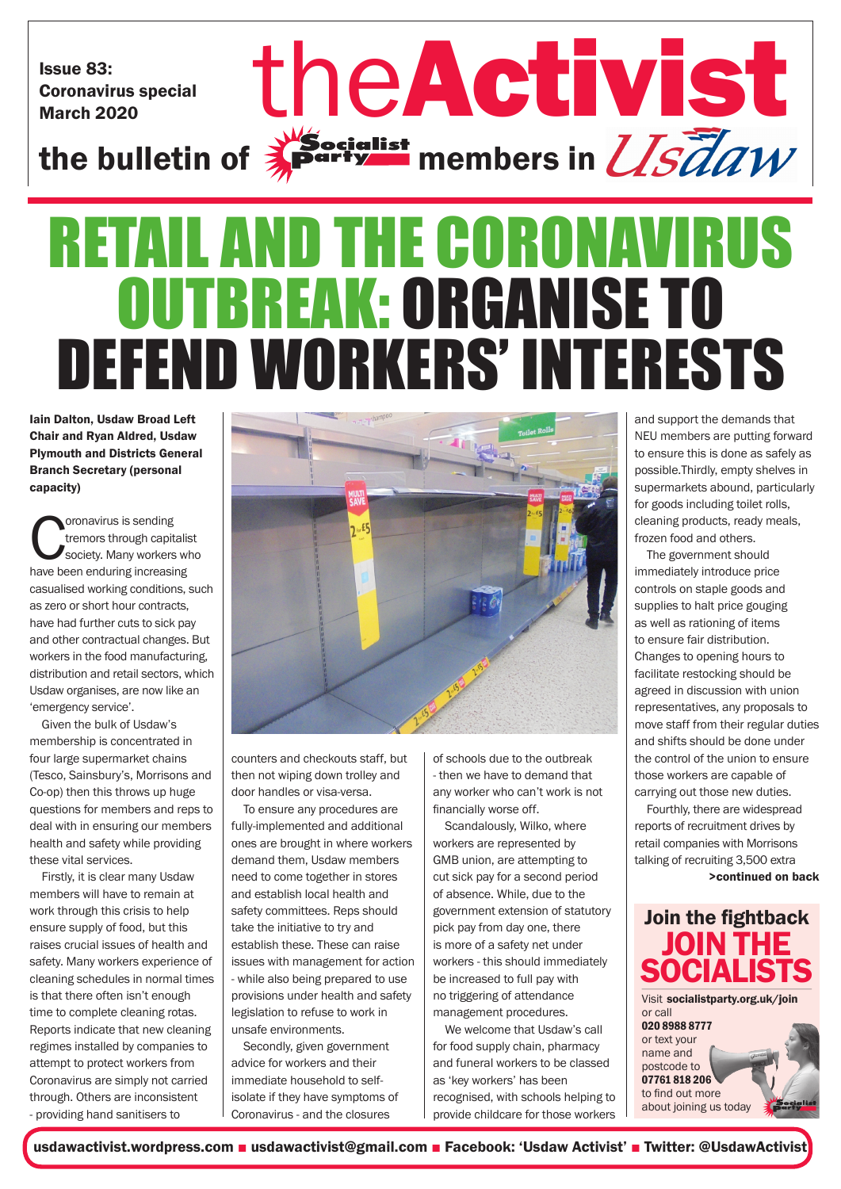Issue 83: Coronavirus special

# Issue 83: Coronavirus special the Activist St the bulletin of  $\frac{1}{2}$  party members in  $\frac{1}{S}$   $\frac{7}{6}$  all  $W$ RETAIL AND THE CORONAVIRUS

## OUTBREAK: ORGANISE TO DEFEND WORKERS' INTERESTS

Iain Dalton, Usdaw Broad Left Chair and Ryan Aldred, Usdaw Plymouth and Districts General Branch Secretary (personal capacity)

**Coronavirus is sending<br>
tremors through capitalis<br>
Society. Many workers whave been enduring increasing** tremors through capitalist society. Many workers who casualised working conditions, such as zero or short hour contracts, have had further cuts to sick pay and other contractual changes. But workers in the food manufacturing, distribution and retail sectors, which Usdaw organises, are now like an 'emergency service'.

Given the bulk of Usdaw's membership is concentrated in four large supermarket chains (Tesco, Sainsbury's, Morrisons and Co-op) then this throws up huge questions for members and reps to deal with in ensuring our members health and safety while providing these vital services.

Firstly, it is clear many Usdaw members will have to remain at work through this crisis to help ensure supply of food, but this raises crucial issues of health and safety. Many workers experience of cleaning schedules in normal times is that there often isn't enough time to complete cleaning rotas. Reports indicate that new cleaning regimes installed by companies to attempt to protect workers from Coronavirus are simply not carried through. Others are inconsistent - providing hand sanitisers to



counters and checkouts staff, but then not wiping down trolley and door handles or visa-versa.

To ensure any procedures are fully-implemented and additional ones are brought in where workers demand them, Usdaw members need to come together in stores and establish local health and safety committees. Reps should take the initiative to try and establish these. These can raise issues with management for action - while also being prepared to use provisions under health and safety legislation to refuse to work in unsafe environments.

Secondly, given government advice for workers and their immediate household to selfisolate if they have symptoms of Coronavirus - and the closures

of schools due to the outbreak - then we have to demand that any worker who can't work is not financially worse off.

Scandalously, Wilko, where workers are represented by GMB union, are attempting to cut sick pay for a second period of absence. While, due to the government extension of statutory pick pay from day one, there is more of a safety net under workers - this should immediately be increased to full pay with no triggering of attendance management procedures.

We welcome that Usdaw's call for food supply chain, pharmacy and funeral workers to be classed as 'key workers' has been recognised, with schools helping to provide childcare for those workers and support the demands that NEU members are putting forward to ensure this is done as safely as possible.Thirdly, empty shelves in supermarkets abound, particularly for goods including toilet rolls, cleaning products, ready meals, frozen food and others.

The government should immediately introduce price controls on staple goods and supplies to halt price gouging as well as rationing of items to ensure fair distribution. Changes to opening hours to facilitate restocking should be agreed in discussion with union representatives, any proposals to move staff from their regular duties and shifts should be done under the control of the union to ensure those workers are capable of carrying out those new duties.

Fourthly, there are widespread reports of recruitment drives by retail companies with Morrisons talking of recruiting 3,500 extra >continued on back



usdawactivist.wordpress.com ■ usdawactivist@gmail.com ■ Facebook: 'Usdaw Activist' ■ Twitter: @UsdawActivist